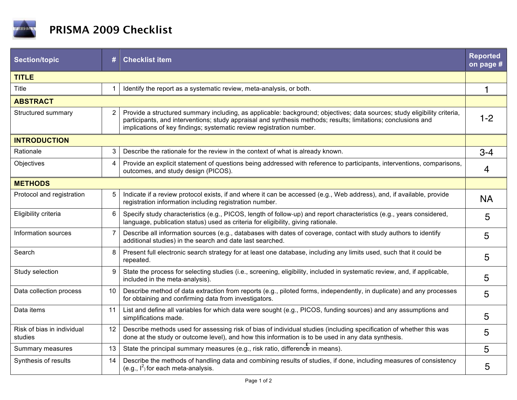

| <b>Section/topic</b>                  | #              | <b>Checklist item</b>                                                                                                                                                                                                                                                                                             | <b>Reported</b><br>on page # |  |
|---------------------------------------|----------------|-------------------------------------------------------------------------------------------------------------------------------------------------------------------------------------------------------------------------------------------------------------------------------------------------------------------|------------------------------|--|
| <b>TITLE</b>                          |                |                                                                                                                                                                                                                                                                                                                   |                              |  |
| Title                                 | 1              | Identify the report as a systematic review, meta-analysis, or both.                                                                                                                                                                                                                                               | 1                            |  |
| <b>ABSTRACT</b>                       |                |                                                                                                                                                                                                                                                                                                                   |                              |  |
| Structured summary                    | 2              | Provide a structured summary including, as applicable: background; objectives; data sources; study eligibility criteria,<br>participants, and interventions; study appraisal and synthesis methods; results; limitations; conclusions and<br>implications of key findings; systematic review registration number. | $1 - 2$                      |  |
| <b>INTRODUCTION</b>                   |                |                                                                                                                                                                                                                                                                                                                   |                              |  |
| Rationale                             | 3              | Describe the rationale for the review in the context of what is already known.                                                                                                                                                                                                                                    | $3 - 4$                      |  |
| Objectives                            | 4              | Provide an explicit statement of questions being addressed with reference to participants, interventions, comparisons,<br>outcomes, and study design (PICOS).                                                                                                                                                     | 4                            |  |
| <b>METHODS</b>                        |                |                                                                                                                                                                                                                                                                                                                   |                              |  |
| Protocol and registration             | 5              | Indicate if a review protocol exists, if and where it can be accessed (e.g., Web address), and, if available, provide<br>registration information including registration number.                                                                                                                                  | <b>NA</b>                    |  |
| Eligibility criteria                  | 6              | Specify study characteristics (e.g., PICOS, length of follow-up) and report characteristics (e.g., years considered,<br>language, publication status) used as criteria for eligibility, giving rationale.                                                                                                         | 5                            |  |
| Information sources                   | $\overline{7}$ | Describe all information sources (e.g., databases with dates of coverage, contact with study authors to identify<br>additional studies) in the search and date last searched.                                                                                                                                     | 5                            |  |
| Search                                | 8              | Present full electronic search strategy for at least one database, including any limits used, such that it could be<br>repeated.                                                                                                                                                                                  | 5                            |  |
| Study selection                       | 9              | State the process for selecting studies (i.e., screening, eligibility, included in systematic review, and, if applicable,<br>included in the meta-analysis).                                                                                                                                                      | 5                            |  |
| Data collection process               | 10             | Describe method of data extraction from reports (e.g., piloted forms, independently, in duplicate) and any processes<br>for obtaining and confirming data from investigators.                                                                                                                                     | 5                            |  |
| Data items                            | 11             | List and define all variables for which data were sought (e.g., PICOS, funding sources) and any assumptions and<br>simplifications made.                                                                                                                                                                          | 5                            |  |
| Risk of bias in individual<br>studies | 12             | Describe methods used for assessing risk of bias of individual studies (including specification of whether this was<br>done at the study or outcome level), and how this information is to be used in any data synthesis.                                                                                         | 5                            |  |
| Summary measures                      | 13             | State the principal summary measures (e.g., risk ratio, difference in means).                                                                                                                                                                                                                                     | 5                            |  |
| Synthesis of results                  | 14             | Describe the methods of handling data and combining results of studies, if done, including measures of consistency<br>(e.g., $I^2$ ) for each meta-analysis.                                                                                                                                                      | 5                            |  |